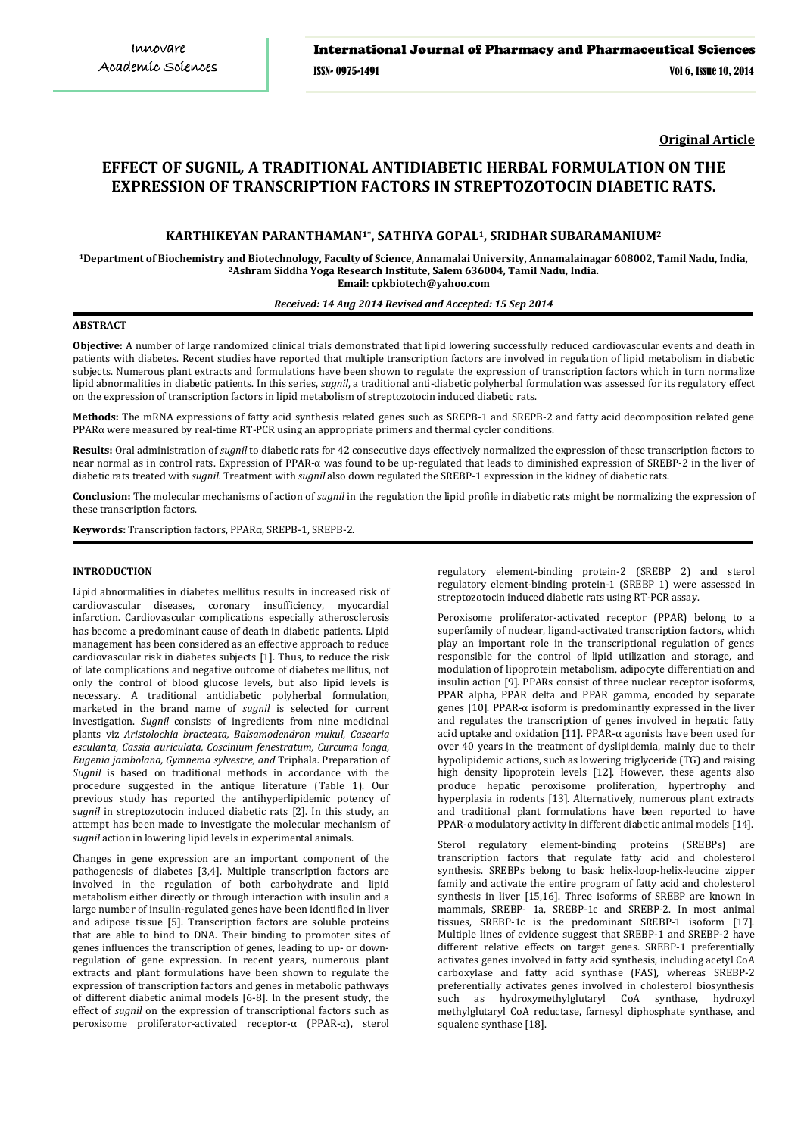**Original Article**

# **EFFECT OF SUGNIL***,* **A TRADITIONAL ANTIDIABETIC HERBAL FORMULATION ON THE EXPRESSION OF TRANSCRIPTION FACTORS IN STREPTOZOTOCIN DIABETIC RATS.**

## **KARTHIKEYAN PARANTHAMAN1\*, SATHIYA GOPAL1, SRIDHAR SUBARAMANIUM2**

**1Department of Biochemistry and Biotechnology, Faculty of Science, Annamalai University, Annamalainagar 608002, Tamil Nadu, India, 2 Ashram Siddha Yoga Research Institute, Salem 636004, Tamil Nadu, India. Email: cpkbiotech@yahoo.com**

### *Received: 14 Aug 2014 Revised and Accepted: 15 Sep 2014*

### **ABSTRACT**

**Objective:** A number of large randomized clinical trials demonstrated that lipid lowering successfully reduced cardiovascular events and death in patients with diabetes. Recent studies have reported that multiple transcription factors are involved in regulation of lipid metabolism in diabetic subjects. Numerous plant extracts and formulations have been shown to regulate the expression of transcription factors which in turn normalize lipid abnormalities in diabetic patients. In this series, *sugnil*, a traditional anti-diabetic polyherbal formulation was assessed for its regulatory effect on the expression of transcription factors in lipid metabolism of streptozotocin induced diabetic rats.

**Methods:** The mRNA expressions of fatty acid synthesis related genes such as SREPB-1 and SREPB-2 and fatty acid decomposition related gene PPARα were measured by real-time RT-PCR using an appropriate primers and thermal cycler conditions.

**Results:** Oral administration of *sugnil* to diabetic rats for 42 consecutive days effectively normalized the expression of these transcription factors to near normal as in control rats. Expression of PPAR-α was found to be up-regulated that leads to diminished expression of SREBP-2 in the liver of diabetic rats treated with *sugnil.* Treatment with *sugnil* also down regulated the SREBP-1 expression in the kidney of diabetic rats.

**Conclusion:** The molecular mechanisms of action of *sugnil* in the regulation the lipid profile in diabetic rats might be normalizing the expression of these transcription factors.

**Keywords:** Transcription factors, PPARα, SREPB-1, SREPB-2.

### **INTRODUCTION**

Lipid abnormalities in diabetes mellitus results in increased risk of cardiovascular diseases, coronary insufficiency, myocardial infarction. Cardiovascular complications especially atherosclerosis has become a predominant cause of death in diabetic patients. Lipid management has been considered as an effective approach to reduce cardiovascular risk in diabetes subjects [1]. Thus, to reduce the risk of late complications and negative outcome of diabetes mellitus, not only the control of blood glucose levels, but also lipid levels is necessary. A traditional antidiabetic polyherbal formulation, marketed in the brand name of *sugnil* is selected for current investigation. *Sugnil* consists of ingredients from nine medicinal plants viz *Aristolochia bracteata, Balsamodendron mukul*, *Casearia esculanta, Cassia auriculata, Coscinium fenestratum, Curcuma longa, Eugenia jambolana, Gymnema sylvestre, and* Triphala. Preparation of *Sugnil* is based on traditional methods in accordance with the procedure suggested in the antique literature (Table 1). Our previous study has reported the antihyperlipidemic potency of *sugnil* in streptozotocin induced diabetic rats [2]. In this study, an attempt has been made to investigate the molecular mechanism of *sugnil* action in lowering lipid levels in experimental animals.

Changes in gene expression are an important component of the pathogenesis of diabetes [3,4]. Multiple transcription factors are involved in the regulation of both carbohydrate and lipid metabolism either directly or through interaction with insulin and a large number of insulin-regulated genes have been identified in liver and adipose tissue [5]. Transcription factors are soluble proteins that are able to bind to DNA. Their binding to promoter sites of genes influences the transcription of genes, leading to up- or downregulation of gene expression. In recent years, numerous plant extracts and plant formulations have been shown to regulate the expression of transcription factors and genes in metabolic pathways of different diabetic animal models [6-8]. In the present study, the effect of *sugnil* on the expression of transcriptional factors such as peroxisome proliferator-activated receptor-α (PPAR-α), sterol

regulatory element-binding protein-2 (SREBP 2) and sterol regulatory element-binding protein-1 (SREBP 1) were assessed in streptozotocin induced diabetic rats using RT-PCR assay.

Peroxisome proliferator-activated receptor (PPAR) belong to a superfamily of nuclear, ligand-activated transcription factors, which play an important role in the transcriptional regulation of genes responsible for the control of lipid utilization and storage, and modulation of lipoprotein metabolism, adipocyte differentiation and insulin action [9]. PPARs consist of three nuclear receptor isoforms, PPAR alpha, PPAR delta and PPAR gamma, encoded by separate genes [10]. PPAR-α isoform is predominantly expressed in the liver and regulates the transcription of genes involved in hepatic fatty acid uptake and oxidation [11]. PPAR-α agonists have been used for over 40 years in the treatment of dyslipidemia, mainly due to their hypolipidemic actions, such as lowering triglyceride (TG) and raising high density lipoprotein levels [12]. However, these agents also produce hepatic peroxisome proliferation, hypertrophy and hyperplasia in rodents [13]. Alternatively, numerous plant extracts and traditional plant formulations have been reported to have PPAR-α modulatory activity in different diabetic animal models [14].

*Sterol regulatory element-binding proteins (SREBPs) are* transcription factors that regulate fatty acid and cholesterol synthesis. SREBPs belong to basic helix-loop-helix-leucine zipper family and activate the entire program of fatty acid and cholesterol synthesis in liver [15,16]. Three isoforms of SREBP are known in mammals, SREBP- 1a, SREBP-1c and SREBP-2. In most animal tissues, SREBP-1c is the predominant SREBP-1 isoform [17]. Multiple lines of evidence suggest that SREBP-1 and SREBP-2 have different relative effects on target genes. SREBP-1 preferentially activates genes involved in fatty acid synthesis, including acetyl CoA carboxylase and fatty acid synthase (FAS), whereas SREBP-2 preferentially activates genes involved in cholesterol biosynthesis such as hydroxymethylglutaryl CoA synthase, hydroxyl such as hydroxymethylglutaryl CoA synthase, methylglutaryl CoA reductase, farnesyl diphosphate synthase, and squalene synthase [18].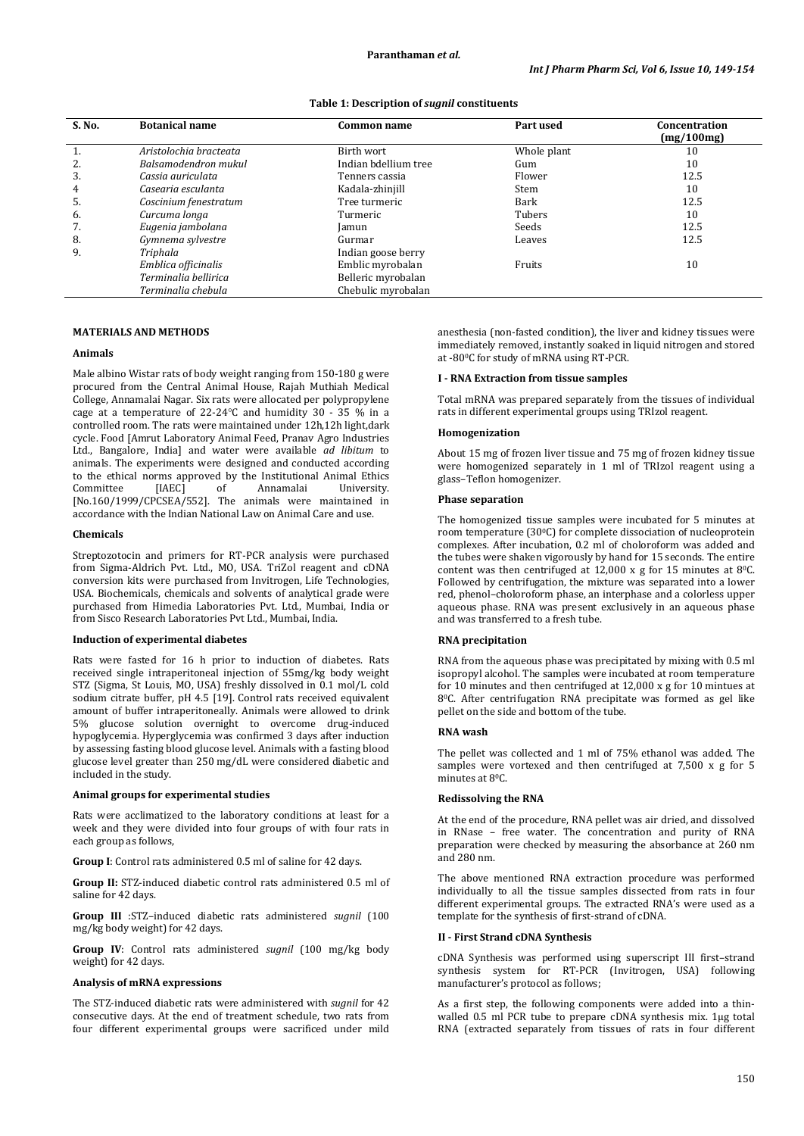| S. No. | <b>Botanical name</b>  | Common name          | Part used   | Concentration<br>(mg/100mg) |
|--------|------------------------|----------------------|-------------|-----------------------------|
|        | Aristolochia bracteata | Birth wort           | Whole plant | 10                          |
| 2.     | Balsamodendron mukul   | Indian bdellium tree | Gum         | 10                          |
| 3.     | Cassia auriculata      | Tenners cassia       | Flower      | 12.5                        |
| 4      | Casearia esculanta     | Kadala-zhinjill      | Stem        | 10                          |
| 5.     | Coscinium fenestratum  | Tree turmeric        | Bark        | 12.5                        |
| 6.     | Curcuma longa          | Turmeric             | Tubers      | 10                          |
| 7.     | Eugenia jambolana      | Jamun                | Seeds       | 12.5                        |
| 8.     | Gymnema sylvestre      | Gurmar               | Leaves      | 12.5                        |
| 9.     | Triphala               | Indian goose berry   |             |                             |
|        | Emblica officinalis    | Emblic myrobalan     | Fruits      | 10                          |
|        | Terminalia bellirica   | Belleric myrobalan   |             |                             |
|        | Terminalia chebula     | Chebulic myrobalan   |             |                             |

### **MATERIALS AND METHODS**

### **Animals**

Male albino Wistar rats of body weight ranging from 150-180 g were procured from the Central Animal House, Rajah Muthiah Medical College, Annamalai Nagar. Six rats were allocated per polypropylene cage at a temperature of 22-24°C and humidity 30 - 35 % in a controlled room. The rats were maintained under 12h,12h light,dark cycle. Food [Amrut Laboratory Animal Feed, Pranav Agro Industries Ltd., Bangalore, India] and water were available *ad libitum* to animals. The experiments were designed and conducted according to the ethical norms approved by the Institutional Animal Ethics<br>
Committee [IAEC] of Annamalai University. Committee [IAEC] of Annamalai University. [No.160/1999/CPCSEA/552]. The animals were maintained in accordance with the Indian National Law on Animal Care and use.

### **Chemicals**

Streptozotocin and primers for RT-PCR analysis were purchased from Sigma-Aldrich Pvt. Ltd., MO, USA. TriZol reagent and cDNA conversion kits were purchased from Invitrogen, Life Technologies, USA. Biochemicals, chemicals and solvents of analytical grade were purchased from Himedia Laboratories Pvt. Ltd., Mumbai, India or from Sisco Research Laboratories Pvt Ltd., Mumbai, India.

### **Induction of experimental diabetes**

Rats were fasted for 16 h prior to induction of diabetes. Rats received single intraperitoneal injection of 55mg/kg body weight STZ (Sigma, St Louis, MO, USA) freshly dissolved in 0.1 mol/L cold sodium citrate buffer, pH 4.5 [19]. Control rats received equivalent amount of buffer intraperitoneally. Animals were allowed to drink 5% glucose solution overnight to overcome drug-induced hypoglycemia. Hyperglycemia was confirmed 3 days after induction by assessing fasting blood glucose level. Animals with a fasting blood glucose level greater than 250 mg/dL were considered diabetic and included in the study.

### **Animal groups for experimental studies**

Rats were acclimatized to the laboratory conditions at least for a week and they were divided into four groups of with four rats in each group as follows,

**Group I**: Control rats administered 0.5 ml of saline for 42 days.

**Group II:** STZ-induced diabetic control rats administered 0.5 ml of saline for 42 days.

**Group III** :STZ–induced diabetic rats administered *sugnil* (100 mg/kg body weight) for 42 days.

**Group IV**: Control rats administered *sugnil* (100 mg/kg body weight) for 42 days.

### **Analysis of mRNA expressions**

The STZ-induced diabetic rats were administered with *sugnil* for 42 consecutive days. At the end of treatment schedule, two rats from four different experimental groups were sacrificed under mild

anesthesia (non-fasted condition), the liver and kidney tissues were immediately removed, instantly soaked in liquid nitrogen and stored at -800 C for study of mRNA using RT-PCR.

### **I - RNA Extraction from tissue samples**

Total mRNA was prepared separately from the tissues of individual rats in different experimental groups using TRIzol reagent.

### **Homogenization**

About 15 mg of frozen liver tissue and 75 mg of frozen kidney tissue were homogenized separately in 1 ml of TRIzol reagent using a glass–Teflon homogenizer.

### **Phase separation**

The homogenized tissue samples were incubated for 5 minutes at room temperature (300C) for complete dissociation of nucleoprotein complexes. After incubation, 0.2 ml of choloroform was added and the tubes were shaken vigorously by hand for 15 seconds. The entire content was then centrifuged at  $12,000 \times g$  for 15 minutes at 8<sup>0</sup>C. Followed by centrifugation, the mixture was separated into a lower red, phenol–choloroform phase, an interphase and a colorless upper aqueous phase. RNA was present exclusively in an aqueous phase and was transferred to a fresh tube.

### **RNA precipitation**

RNA from the aqueous phase was precipitated by mixing with 0.5 ml isopropyl alcohol. The samples were incubated at room temperature for 10 minutes and then centrifuged at 12,000 x g for 10 mintues at 80 C. After centrifugation RNA precipitate was formed as gel like pellet on the side and bottom of the tube.

### **RNA wash**

The pellet was collected and 1 ml of 75% ethanol was added. The samples were vortexed and then centrifuged at 7,500 x g for 5 minutes at 8ºC.

### **Redissolving the RNA**

At the end of the procedure, RNA pellet was air dried, and dissolved in RNase – free water. The concentration and purity of RNA preparation were checked by measuring the absorbance at 260 nm and 280 nm.

The above mentioned RNA extraction procedure was performed individually to all the tissue samples dissected from rats in four different experimental groups. The extracted RNA's were used as a template for the synthesis of first-strand of cDNA.

### **II - First Strand cDNA Synthesis**

cDNA Synthesis was performed using superscript III first–strand synthesis system for RT-PCR (Invitrogen, USA) following manufacturer's protocol as follows;

As a first step, the following components were added into a thinwalled 0.5 ml PCR tube to prepare cDNA synthesis mix. 1µg total RNA (extracted separately from tissues of rats in four different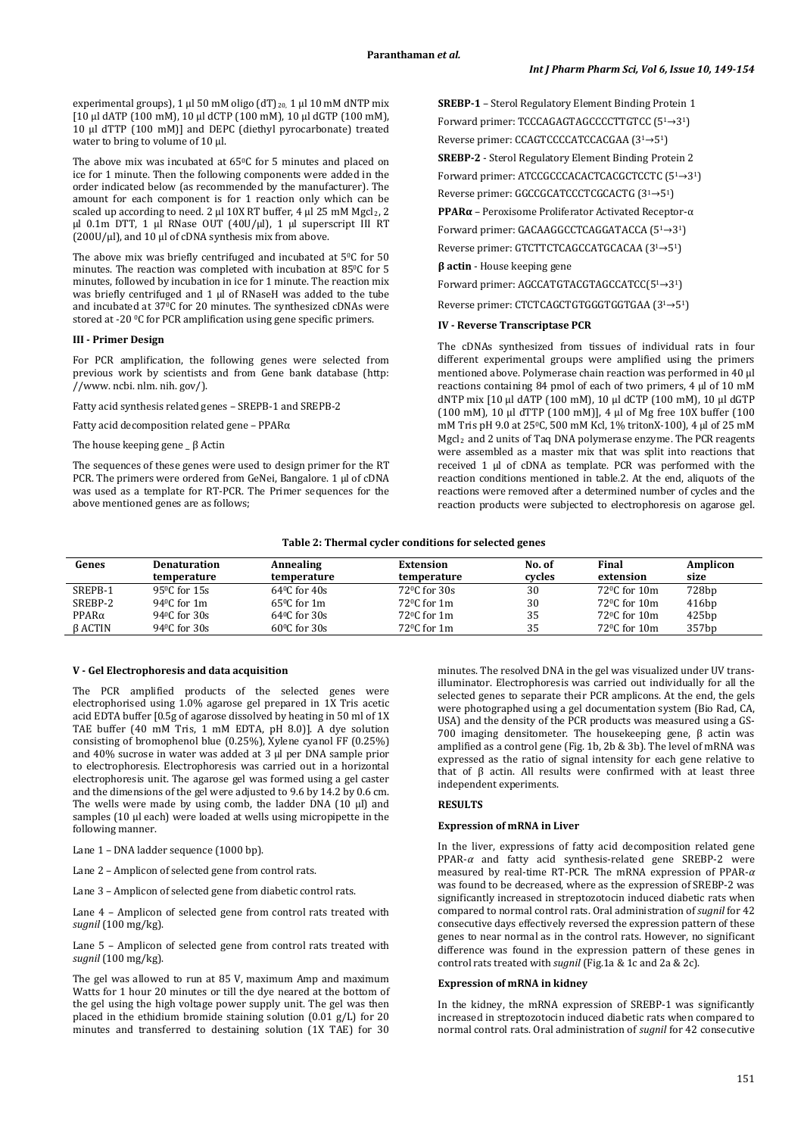experimental groups), 1 µl 50 mM oligo (dT)<sub>20</sub>, 1 µl 10 mM dNTP mix [10 µl dATP (100 mM), 10 µl dCTP (100 mM), 10 µl dGTP (100 mM), 10 µl dTTP (100 mM)] and DEPC (diethyl pyrocarbonate) treated water to bring to volume of 10 µl.

The above mix was incubated at 65°C for 5 minutes and placed on ice for 1 minute. Then the following components were added in the order indicated below (as recommended by the manufacturer). The amount for each component is for 1 reaction only which can be scaled up according to need. 2 µl 10X RT buffer, 4 µl 25 mM Mgcl<sub>2</sub>, 2 µl 0.1m DTT, 1 µl RNase OUT (40U/µl), 1 µl superscript III RT  $(200U/\mu l)$ , and  $10 \mu l$  of cDNA synthesis mix from above.

The above mix was briefly centrifuged and incubated at 5°C for 50 minutes. The reaction was completed with incubation at 85°C for 5 minutes, followed by incubation in ice for 1 minute. The reaction mix was briefly centrifuged and 1 µl of RNaseH was added to the tube and incubated at 37<sup>0</sup>C for 20 minutes. The synthesized cDNAs were stored at -20 °C for PCR amplification using gene specific primers.

#### **III - Primer Design**

For PCR amplification, the following genes were selected from previous work by scientists and from Gene bank database (http: //www. ncbi. nlm. nih. gov/).

Fatty acid synthesis related genes – SREPB-1 and SREPB-2

Fatty acid decomposition related gene – PPARα

The house keeping gene \_ β Actin

The sequences of these genes were used to design primer for the RT PCR. The primers were ordered from GeNei, Bangalore. 1 µl of cDNA was used as a template for RT-PCR. The Primer sequences for the above mentioned genes are as follows;

**SREBP-1** – Sterol Regulatory Element Binding Protein 1 Forward primer: TCCCAGAGTAGCCCCTTGTCC (51→3<sup>1</sup> ) Reverse primer: CCAGTCCCCATCCACGAA (3<sup>1</sup>→5<sup>1</sup>) **SREBP-2** - Sterol Regulatory Element Binding Protein 2 Forward primer: ATCCGCCCACACTCACGCTCCTC (51→3<sup>1</sup> )

Reverse primer: GGCCGCATCCCTCGCACTG (3<sup>1</sup>→5<sup>1</sup>)

**PPARα** – Peroxisome Proliferator Activated Receptor-α

Forward primer: GACAAGGCCTCAGGATACCA (51→3<sup>1</sup> ) Reverse primer: GTCTTCTCAGCCATGCACAA (3<sup>1</sup>→5<sup>1</sup>)

**β actin** - House keeping gene

Forward primer: AGCCATGTACGTAGCCATCC(51→3<sup>1</sup> )

Reverse primer: CTCTCAGCTGTGGGTGGTGAA (3<sup>1</sup>→5<sup>1</sup>)

### **IV - Reverse Transcriptase PCR**

The cDNAs synthesized from tissues of individual rats in four different experimental groups were amplified using the primers mentioned above. Polymerase chain reaction was performed in 40 µl reactions containing 84 pmol of each of two primers, 4 µl of 10 mM dNTP mix [10 µl dATP (100 mM), 10 µl dCTP (100 mM), 10 µl dGTP (100 mM), 10 µl dTTP (100 mM)], 4 µl of Mg free 10X buffer (100 mM Tris pH 9.0 at 250C, 500 mM Kcl, 1% tritonX-100), 4 µl of 25 mM Mgcl2 and 2 units of Taq DNA polymerase enzyme. The PCR reagents were assembled as a master mix that was split into reactions that received 1 µl of cDNA as template. PCR was performed with the reaction conditions mentioned in table.2. At the end, aliquots of the reactions were removed after a determined number of cycles and the reaction products were subjected to electrophoresis on agarose gel.

#### **Table 2: Thermal cycler conditions for selected genes**

| Genes         | <b>Denaturation</b><br>temperature | Annealing<br>temperature | <b>Extension</b><br>temperature | No. of<br>cycles | Final<br>extension        | Amplicon<br>size |
|---------------|------------------------------------|--------------------------|---------------------------------|------------------|---------------------------|------------------|
| SREPB-1       | 95 °C for 15s                      | $640C$ for $40s$         | $72^{\circ}$ C for $30s$        | 30               | $72^{\circ}$ C for $10m$  | 728bp            |
| SREBP-2       | 940C for 1m                        | $65^{\circ}$ C for 1m    | $72^{\circ}$ C for 1m           | 30               | 72 <sup>o</sup> C for 10m | 416bp            |
| $PPAR\alpha$  | 94 <sup>o</sup> C for 30s          | $640C$ for $30s$         | $72^{\circ}$ C for 1m           | 35               | 72 <sup>o</sup> C for 10m | 425bp            |
| <b>BACTIN</b> | 94 <sup>o</sup> C for $30s$        | $60^{\circ}$ C for 30s   | $72^{\circ}$ C for $1m$         | 35               | $72^{\circ}$ C for $10m$  | 357bp            |

### **V - Gel Electrophoresis and data acquisition**

The PCR amplified products of the selected genes were electrophorised using 1.0% agarose gel prepared in 1X Tris acetic acid EDTA buffer [0.5g of agarose dissolved by heating in 50 ml of 1X TAE buffer (40 mM Tris, 1 mM EDTA, pH 8.0)]. A dye solution consisting of bromophenol blue (0.25%), Xylene cyanol FF (0.25%) and 40% sucrose in water was added at 3 µl per DNA sample prior to electrophoresis. Electrophoresis was carried out in a horizontal electrophoresis unit. The agarose gel was formed using a gel caster and the dimensions of the gel were adjusted to 9.6 by 14.2 by 0.6 cm. The wells were made by using comb, the ladder DNA  $(10 \mu l)$  and samples (10 µl each) were loaded at wells using micropipette in the following manner.

Lane 1 – DNA ladder sequence (1000 bp).

Lane 2 – Amplicon of selected gene from control rats.

Lane 3 – Amplicon of selected gene from diabetic control rats.

Lane 4 – Amplicon of selected gene from control rats treated with *sugnil* (100 mg/kg).

Lane 5 – Amplicon of selected gene from control rats treated with *sugnil* (100 mg/kg).

The gel was allowed to run at 85 V, maximum Amp and maximum Watts for 1 hour 20 minutes or till the dye neared at the bottom of the gel using the high voltage power supply unit. The gel was then placed in the ethidium bromide staining solution (0.01 g/L) for 20 minutes and transferred to destaining solution (1X TAE) for 30

minutes. The resolved DNA in the gel was visualized under UV transilluminator. Electrophoresis was carried out individually for all the selected genes to separate their PCR amplicons. At the end, the gels were photographed using a gel documentation system (Bio Rad, CA, USA) and the density of the PCR products was measured using a GS-700 imaging densitometer. The housekeeping gene, β actin was amplified as a control gene (Fig. 1b, 2b & 3b). The level of mRNA was expressed as the ratio of signal intensity for each gene relative to that of  $β$  actin. All results were confirmed with at least three independent experiments.

# **RESULTS**

### **Expression of mRNA in Liver**

In the liver, expressions of fatty acid decomposition related gene PPAR-*α* and fatty acid synthesis-related gene SREBP-2 were measured by real-time RT-PCR. The mRNA expression of PPAR-*α*  was found to be decreased, where as the expression of SREBP-2 was significantly increased in streptozotocin induced diabetic rats when compared to normal control rats. Oral administration of *sugnil* for 42 consecutive days effectively reversed the expression pattern of these genes to near normal as in the control rats. However, no significant difference was found in the expression pattern of these genes in control rats treated with *sugnil* (Fig.1a & 1c and 2a & 2c).

### **Expression of mRNA in kidney**

In the kidney, the mRNA expression of SREBP-1 was significantly increased in streptozotocin induced diabetic rats when compared to normal control rats. Oral administration of *sugnil* for 42 consecutive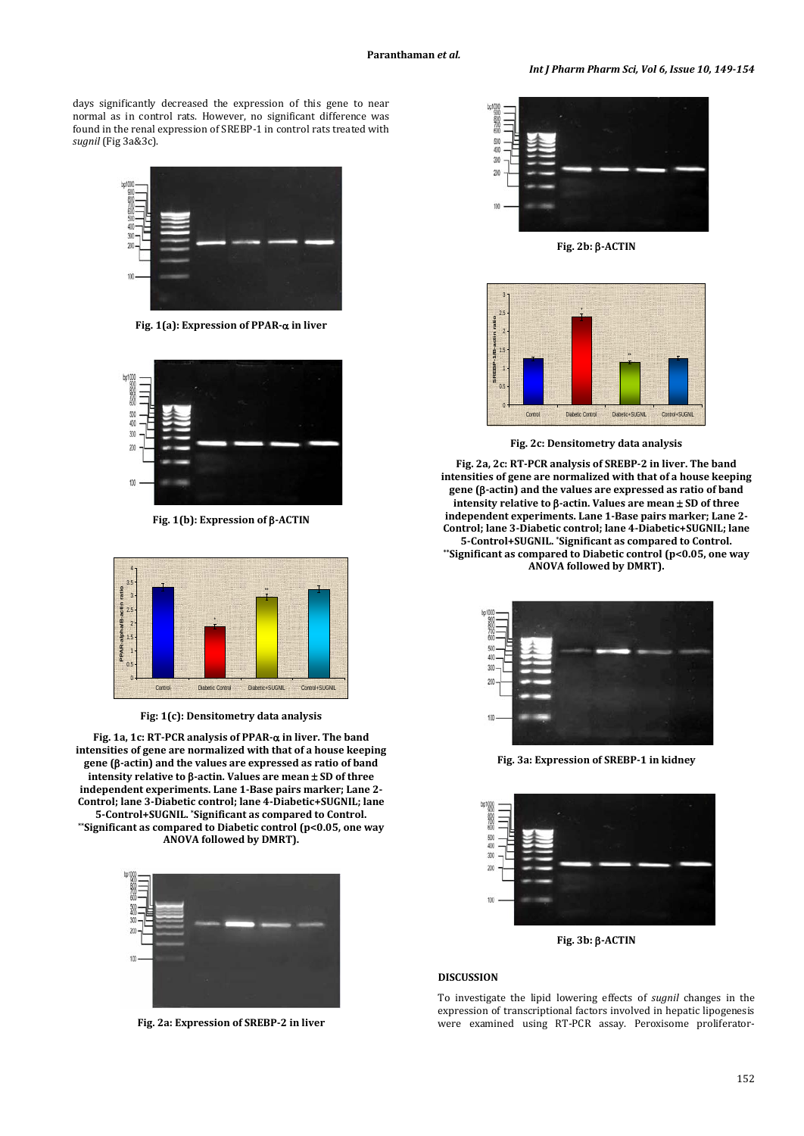*Int J Pharm Pharm Sci, Vol 6, Issue 10, 149-154*

days significantly decreased the expression of this gene to near normal as in control rats. However, no significant difference was found in the renal expression of SREBP-1 in control rats treated with *sugnil* (Fig 3a&3c).



**Fig. 1(a): Expression of PPAR-**α **in liver**



**Fig. 1(b): Expression of** β**-ACTIN**



**Fig: 1(c): Densitometry data analysis**

**Fig. 1a, 1c: RT-PCR analysis of PPAR-**α **in liver. The band intensities of gene are normalized with that of a house keeping gene (**β**-actin) and the values are expressed as ratio of band intensity relative to** β**-actin. Values are mean** ± **SD of three independent experiments. Lane 1-Base pairs marker; Lane 2- Control; lane 3-Diabetic control; lane 4-Diabetic+SUGNIL; lane 5-Control+SUGNIL. \*Significant as compared to Control. \*\*Significant as compared to Diabetic control (p<0.05, one way ANOVA followed by DMRT).**



**Fig. 2a: Expression of SREBP-2 in liver**



**Fig. 2b:** β**-ACTIN**



**Fig. 2c: Densitometry data analysis**

**Fig. 2a, 2c: RT-PCR analysis of SREBP-2 in liver. The band intensities of gene are normalized with that of a house keeping gene (**β**-actin) and the values are expressed as ratio of band intensity relative to** β**-actin. Values are mean** ± **SD of three independent experiments. Lane 1-Base pairs marker; Lane 2- Control; lane 3-Diabetic control; lane 4-Diabetic+SUGNIL; lane 5-Control+SUGNIL. \*Significant as compared to Control. \*\*Significant as compared to Diabetic control (p<0.05, one way ANOVA followed by DMRT).**



**Fig. 3a: Expression of SREBP-1 in kidney**



**Fig. 3b:** β**-ACTIN**

#### **DISCUSSION**

To investigate the lipid lowering effects of *sugnil* changes in the expression of transcriptional factors involved in hepatic lipogenesis were examined using RT-PCR assay. Peroxisome proliferator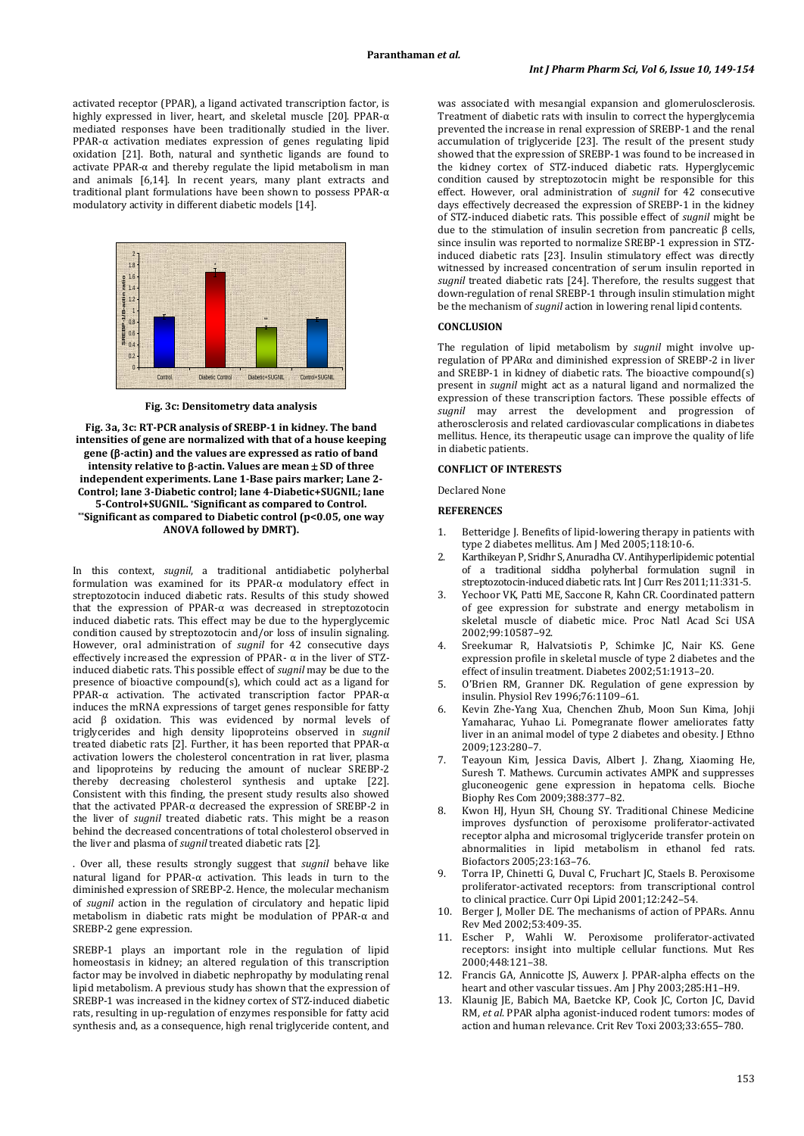activated receptor (PPAR), a ligand activated transcription factor, is highly expressed in liver, heart, and skeletal muscle [20]. PPAR-α mediated responses have been traditionally studied in the liver. PPAR-α activation mediates expression of genes regulating lipid oxidation [21]. Both, natural and synthetic ligands are found to activate PPAR- $\alpha$  and thereby regulate the lipid metabolism in man and animals [6,14]. In recent years, many plant extracts and traditional plant formulations have been shown to possess PPAR-α modulatory activity in different diabetic models [14].



**Fig. 3c: Densitometry data analysis**

**Fig. 3a, 3c: RT-PCR analysis of SREBP-1 in kidney. The band intensities of gene are normalized with that of a house keeping gene (**β**-actin) and the values are expressed as ratio of band intensity relative to** β**-actin. Values are mean** ± **SD of three independent experiments. Lane 1-Base pairs marker; Lane 2- Control; lane 3-Diabetic control; lane 4-Diabetic+SUGNIL; lane 5-Control+SUGNIL. \*Significant as compared to Control. \*\*Significant as compared to Diabetic control (p<0.05, one way ANOVA followed by DMRT).**

In this context, *sugnil*, a traditional antidiabetic polyherbal formulation was examined for its PPAR-α modulatory effect in streptozotocin induced diabetic rats. Results of this study showed that the expression of PPAR-α was decreased in streptozotocin induced diabetic rats. This effect may be due to the hyperglycemic condition caused by streptozotocin and/or loss of insulin signaling. However, oral administration of *sugnil* for 42 consecutive days effectively increased the expression of PPAR- $\alpha$  in the liver of STZinduced diabetic rats. This possible effect of *sugnil* may be due to the presence of bioactive compound(s), which could act as a ligand for PPAR-α activation. The activated transcription factor PPAR-α induces the mRNA expressions of target genes responsible for fatty acid β oxidation. This was evidenced by normal levels of triglycerides and high density lipoproteins observed in *sugnil* treated diabetic rats [2]. Further, it has been reported that PPAR-α activation lowers the cholesterol concentration in rat liver, plasma and lipoproteins by reducing the amount of nuclear SREBP-2 thereby decreasing cholesterol synthesis and uptake [22]. Consistent with this finding, the present study results also showed that the activated PPAR-α decreased the expression of SREBP-2 in the liver of *sugnil* treated diabetic rats. This might be a reason behind the decreased concentrations of total cholesterol observed in the liver and plasma of *sugnil* treated diabetic rats [2].

. Over all, these results strongly suggest that *sugnil* behave like natural ligand for PPAR-α activation. This leads in turn to the diminished expression of SREBP-2. Hence, the molecular mechanism of *sugnil* action in the regulation of circulatory and hepatic lipid metabolism in diabetic rats might be modulation of PPAR-α and SREBP-2 gene expression.

SREBP-1 plays an important role in the regulation of lipid homeostasis in kidney; an altered regulation of this transcription factor may be involved in diabetic nephropathy by modulating renal lipid metabolism. A previous study has shown that the expression of SREBP-1 was increased in the kidney cortex of STZ-induced diabetic rats, resulting in up-regulation of enzymes responsible for fatty acid synthesis and, as a consequence, high renal triglyceride content, and

was associated with mesangial expansion and glomerulosclerosis. Treatment of diabetic rats with insulin to correct the hyperglycemia prevented the increase in renal expression of SREBP-1 and the renal accumulation of triglyceride [23]. The result of the present study showed that the expression of SREBP-1 was found to be increased in the kidney cortex of STZ-induced diabetic rats. Hyperglycemic condition caused by streptozotocin might be responsible for this effect. However, oral administration of *sugnil* for 42 consecutive days effectively decreased the expression of SREBP-1 in the kidney of STZ-induced diabetic rats. This possible effect of *sugnil* might be due to the stimulation of insulin secretion from pancreatic β cells, since insulin was reported to normalize SREBP-1 expression in STZinduced diabetic rats [23]. Insulin stimulatory effect was directly witnessed by increased concentration of serum insulin reported in *sugnil* treated diabetic rats [24]. Therefore, the results suggest that down-regulation of renal SREBP-1 through insulin stimulation might be the mechanism of *sugnil* action in lowering renal lipid contents.

#### **CONCLUSION**

The regulation of lipid metabolism by *sugnil* might involve upregulation of PPARα and diminished expression of SREBP-2 in liver and SREBP-1 in kidney of diabetic rats. The bioactive compound(s) present in *sugnil* might act as a natural ligand and normalized the expression of these transcription factors. These possible effects of *sugnil* may arrest the development and progression of atherosclerosis and related cardiovascular complications in diabetes mellitus. Hence, its therapeutic usage can improve the quality of life in diabetic patients.

### **CONFLICT OF INTERESTS**

Declared None

#### **REFERENCES**

- 1. Betteridge J. Benefits of lipid-lowering therapy in patients with type 2 diabetes mellitus. Am J Med 2005;118:10-6.
- 2. Karthikeyan P, Sridhr S, Anuradha CV. Antihyperlipidemic potential of a traditional siddha polyherbal formulation sugnil in streptozotocin-induced diabetic rats. Int J Curr Res 2011;11:331-5.
- 3. Yechoor VK, Patti ME, Saccone R, Kahn CR. Coordinated pattern of gee expression for substrate and energy metabolism in skeletal muscle of diabetic mice. Proc Natl Acad Sci USA 2002;99:10587–92.
- 4. Sreekumar R, Halvatsiotis P, Schimke JC, Nair KS. Gene expression profile in skeletal muscle of type 2 diabetes and the effect of insulin treatment. Diabetes 2002;51:1913–20.
- 5. O'Brien RM, Granner DK. Regulation of gene expression by insulin. Physiol Rev 1996;76:1109–61.
- 6. Kevin Zhe-Yang Xua, Chenchen Zhub, Moon Sun Kima, Johji Yamaharac, Yuhao Li. Pomegranate flower ameliorates fatty liver in an animal model of type 2 diabetes and obesity. J Ethno 2009;123:280–7.
- 7. Teayoun Kim, Jessica Davis, Albert J. Zhang, Xiaoming He, Suresh T. Mathews. Curcumin activates AMPK and suppresses gluconeogenic gene expression in hepatoma cells. Bioche Biophy Res Com 2009;388:377–82.
- 8. Kwon HJ, Hyun SH, Choung SY. Traditional Chinese Medicine improves dysfunction of peroxisome proliferator-activated receptor alpha and microsomal triglyceride transfer protein on abnormalities in lipid metabolism in ethanol fed rats. Biofactors 2005;23:163–76.
- 9. Torra IP, Chinetti G, Duval C, Fruchart JC, Staels B. Peroxisome proliferator-activated receptors: from transcriptional control to clinical practice. Curr Opi Lipid 2001;12:242–54.
- 10. Berger J, Moller DE. The mechanisms of action of PPARs. Annu Rev Med 2002;53:409-35.
- 11. Escher P, Wahli W. Peroxisome proliferator-activated receptors: insight into multiple cellular functions. Mut Res 2000;448:121–38.
- 12. Francis GA, Annicotte JS, Auwerx J. PPAR-alpha effects on the heart and other vascular tissues. Am J Phy 2003;285:H1–H9.
- 13. Klaunig JE, Babich MA, Baetcke KP, Cook JC, Corton JC, David RM, *et al*. PPAR alpha agonist-induced rodent tumors: modes of action and human relevance. Crit Rev Toxi 2003;33:655–780.